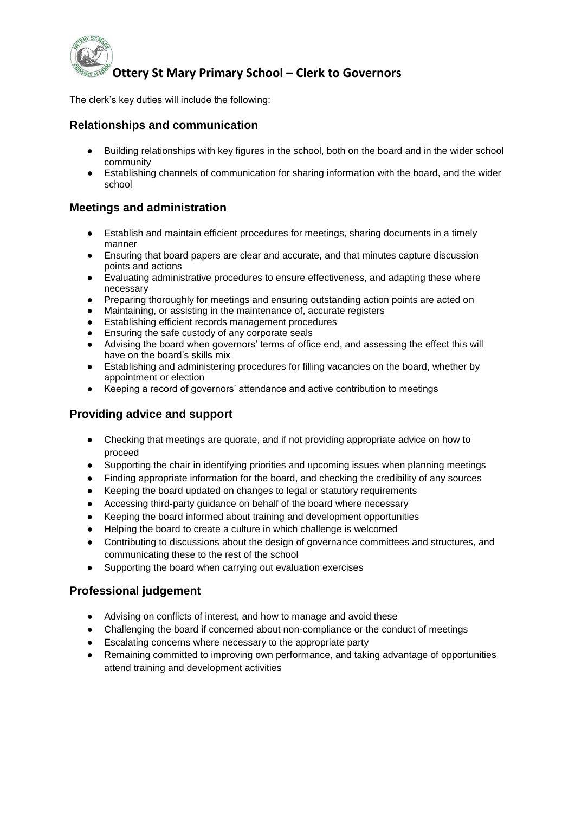

The clerk's key duties will include the following:

### **Relationships and communication**

- Building relationships with key figures in the school, both on the board and in the wider school community
- Establishing channels of communication for sharing information with the board, and the wider school

#### **Meetings and administration**

- Establish and maintain efficient procedures for meetings, sharing documents in a timely manner
- Ensuring that board papers are clear and accurate, and that minutes capture discussion points and actions
- Evaluating administrative procedures to ensure effectiveness, and adapting these where necessary
- Preparing thoroughly for meetings and ensuring outstanding action points are acted on
- Maintaining, or assisting in the maintenance of, accurate registers
- Establishing efficient records management procedures
- Ensuring the safe custody of any corporate seals
- Advising the board when governors' terms of office end, and assessing the effect this will have on the board's skills mix
- Establishing and administering procedures for filling vacancies on the board, whether by appointment or election
- Keeping a record of governors' attendance and active contribution to meetings

### **Providing advice and support**

- Checking that meetings are quorate, and if not providing appropriate advice on how to proceed
- Supporting the chair in identifying priorities and upcoming issues when planning meetings
- Finding appropriate information for the board, and checking the credibility of any sources
- Keeping the board updated on changes to legal or statutory requirements
- Accessing third-party guidance on behalf of the board where necessary
- Keeping the board informed about training and development opportunities
- Helping the board to create a culture in which challenge is welcomed
- Contributing to discussions about the design of governance committees and structures, and communicating these to the rest of the school
- Supporting the board when carrying out evaluation exercises

### **Professional judgement**

- Advising on conflicts of interest, and how to manage and avoid these
- Challenging the board if concerned about non-compliance or the conduct of meetings
- Escalating concerns where necessary to the appropriate party
- Remaining committed to improving own performance, and taking advantage of opportunities attend training and development activities